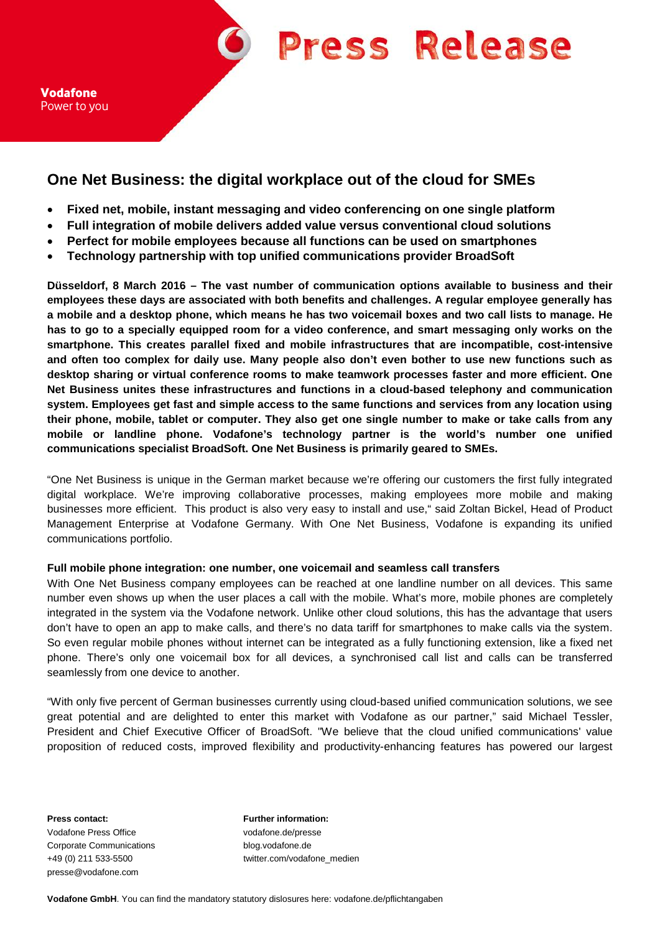



# **One Net Business: the digital workplace out of the cloud for SMEs**

- **Fixed net, mobile, instant messaging and video conferencing on one single platform**
- **Full integration of mobile delivers added value versus conventional cloud solutions**
- **Perfect for mobile employees because all functions can be used on smartphones**
- **Technology partnership with top unified communications provider BroadSoft**

**Düsseldorf, 8 March 2016 – The vast number of communication options available to business and their employees these days are associated with both benefits and challenges. A regular employee generally has a mobile and a desktop phone, which means he has two voicemail boxes and two call lists to manage. He has to go to a specially equipped room for a video conference, and smart messaging only works on the smartphone. This creates parallel fixed and mobile infrastructures that are incompatible, cost-intensive and often too complex for daily use. Many people also don't even bother to use new functions such as desktop sharing or virtual conference rooms to make teamwork processes faster and more efficient. One Net Business unites these infrastructures and functions in a cloud-based telephony and communication system. Employees get fast and simple access to the same functions and services from any location using their phone, mobile, tablet or computer. They also get one single number to make or take calls from any mobile or landline phone. Vodafone's technology partner is the world's number one unified communications specialist BroadSoft. One Net Business is primarily geared to SMEs.** 

"One Net Business is unique in the German market because we're offering our customers the first fully integrated digital workplace. We're improving collaborative processes, making employees more mobile and making businesses more efficient. This product is also very easy to install and use," said Zoltan Bickel, Head of Product Management Enterprise at Vodafone Germany. With One Net Business, Vodafone is expanding its unified communications portfolio.

## **Full mobile phone integration: one number, one voicemail and seamless call transfers**

With One Net Business company employees can be reached at one landline number on all devices. This same number even shows up when the user places a call with the mobile. What's more, mobile phones are completely integrated in the system via the Vodafone network. Unlike other cloud solutions, this has the advantage that users don't have to open an app to make calls, and there's no data tariff for smartphones to make calls via the system. So even regular mobile phones without internet can be integrated as a fully functioning extension, like a fixed net phone. There's only one voicemail box for all devices, a synchronised call list and calls can be transferred seamlessly from one device to another.

"With only five percent of German businesses currently using cloud-based unified communication solutions, we see great potential and are delighted to enter this market with Vodafone as our partner," said Michael Tessler, President and Chief Executive Officer of BroadSoft. "We believe that the cloud unified communications' value proposition of reduced costs, improved flexibility and productivity-enhancing features has powered our largest

**Press contact: Further information:** Vodafone Press Office vodafone.de/presse Corporate Communications blog.vodafone.de presse@vodafone.com

+49 (0) 211 533-5500 twitter.com/vodafone\_medien

**Vodafone GmbH**. You can find the mandatory statutory dislosures here: vodafone.de/pflichtangaben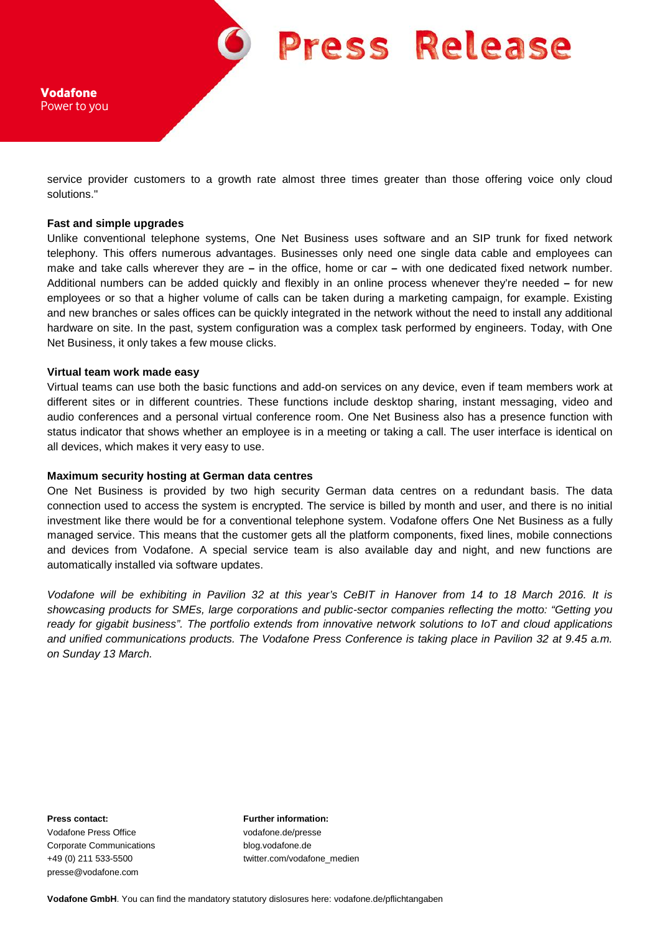

Vodafone Power to you

service provider customers to a growth rate almost three times greater than those offering voice only cloud solutions."

#### **Fast and simple upgrades**

Unlike conventional telephone systems, One Net Business uses software and an SIP trunk for fixed network telephony. This offers numerous advantages. Businesses only need one single data cable and employees can make and take calls wherever they are **–** in the office, home or car **–** with one dedicated fixed network number. Additional numbers can be added quickly and flexibly in an online process whenever they're needed **–** for new employees or so that a higher volume of calls can be taken during a marketing campaign, for example. Existing and new branches or sales offices can be quickly integrated in the network without the need to install any additional hardware on site. In the past, system configuration was a complex task performed by engineers. Today, with One Net Business, it only takes a few mouse clicks.

### **Virtual team work made easy**

Virtual teams can use both the basic functions and add-on services on any device, even if team members work at different sites or in different countries. These functions include desktop sharing, instant messaging, video and audio conferences and a personal virtual conference room. One Net Business also has a presence function with status indicator that shows whether an employee is in a meeting or taking a call. The user interface is identical on all devices, which makes it very easy to use.

### **Maximum security hosting at German data centres**

One Net Business is provided by two high security German data centres on a redundant basis. The data connection used to access the system is encrypted. The service is billed by month and user, and there is no initial investment like there would be for a conventional telephone system. Vodafone offers One Net Business as a fully managed service. This means that the customer gets all the platform components, fixed lines, mobile connections and devices from Vodafone. A special service team is also available day and night, and new functions are automatically installed via software updates.

*Vodafone will be exhibiting in Pavilion 32 at this year's CeBIT in Hanover from 14 to 18 March 2016. It is showcasing products for SMEs, large corporations and public-sector companies reflecting the motto: "Getting you ready for gigabit business". The portfolio extends from innovative network solutions to IoT and cloud applications and unified communications products. The Vodafone Press Conference is taking place in Pavilion 32 at 9.45 a.m. on Sunday 13 March.* 

Vodafone Press Office vodafone.de/presse Corporate Communications blog.vodafone.de presse@vodafone.com

**Press contact: Further information:**

+49 (0) 211 533-5500 twitter.com/vodafone\_medien

**Vodafone GmbH**. You can find the mandatory statutory dislosures here: vodafone.de/pflichtangaben